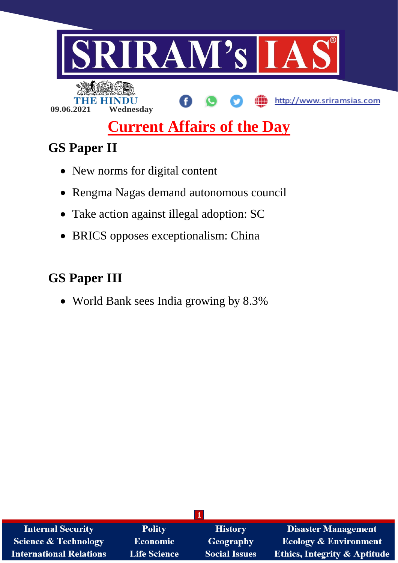

# **Current Affairs of the Day**

# **GS Paper II**

- New norms for digital content
- Rengma Nagas demand autonomous council
- Take action against illegal adoption: SC
- BRICS opposes exceptionalism: China

# **GS Paper III**

World Bank sees India growing by 8.3%

| <b>Internal Security</b>        | <b>Polity</b>       | <b>History</b>       | <b>Disaster Management</b>              |
|---------------------------------|---------------------|----------------------|-----------------------------------------|
| <b>Science &amp; Technology</b> | <b>Economic</b>     | Geography            | <b>Ecology &amp; Environment</b>        |
| <b>International Relations</b>  | <b>Life Science</b> | <b>Social Issues</b> | <b>Ethics, Integrity &amp; Aptitude</b> |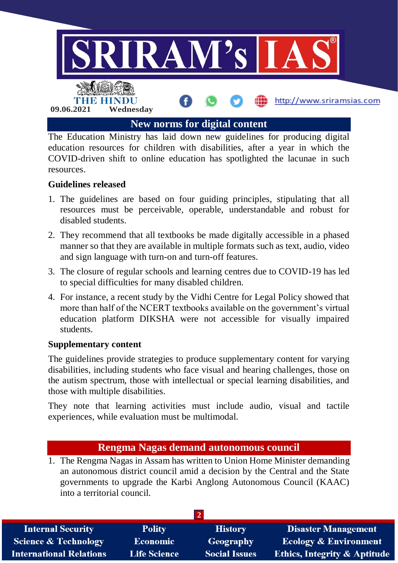

The Education Ministry has laid down new guidelines for producing digital education resources for children with disabilities, after a year in which the COVID-driven shift to online education has spotlighted the lacunae in such resources.

#### **Guidelines released**

- 1. The guidelines are based on four guiding principles, stipulating that all resources must be perceivable, operable, understandable and robust for disabled students.
- 2. They recommend that all textbooks be made digitally accessible in a phased manner so that they are available in multiple formats such as text, audio, video and sign language with turn-on and turn-off features.
- 3. The closure of regular schools and learning centres due to COVID-19 has led to special difficulties for many disabled children.
- 4. For instance, a recent study by the Vidhi Centre for Legal Policy showed that more than half of the NCERT textbooks available on the government's virtual education platform DIKSHA were not accessible for visually impaired students.

#### **Supplementary content**

The guidelines provide strategies to produce supplementary content for varying disabilities, including students who face visual and hearing challenges, those on the autism spectrum, those with intellectual or special learning disabilities, and those with multiple disabilities.

They note that learning activities must include audio, visual and tactile experiences, while evaluation must be multimodal.

## **Rengma Nagas demand autonomous council**

1. The Rengma Nagas in Assam has written to Union Home Minister demanding an autonomous district council amid a decision by the Central and the State governments to upgrade the Karbi Anglong Autonomous Council (KAAC) into a territorial council.

| <b>Internal Security</b>        | <b>Polity</b>       | <b>History</b>       | <b>Disaster Management</b>              |
|---------------------------------|---------------------|----------------------|-----------------------------------------|
| <b>Science &amp; Technology</b> | <b>Economic</b>     | Geography            | <b>Ecology &amp; Environment</b>        |
| <b>International Relations</b>  | <b>Life Science</b> | <b>Social Issues</b> | <b>Ethics, Integrity &amp; Aptitude</b> |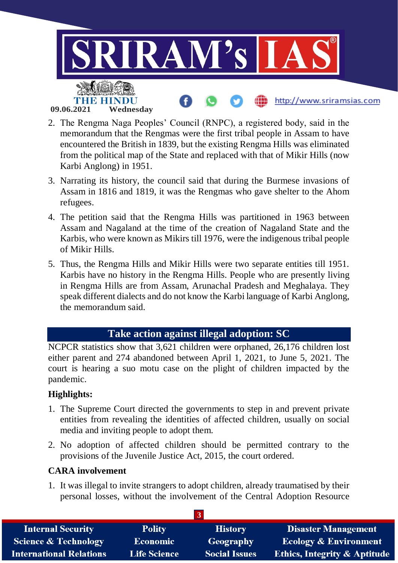

- 2. The Rengma Naga Peoples' Council (RNPC), a registered body, said in the memorandum that the Rengmas were the first tribal people in Assam to have encountered the British in 1839, but the existing Rengma Hills was eliminated from the political map of the State and replaced with that of Mikir Hills (now Karbi Anglong) in 1951.
- 3. Narrating its history, the council said that during the Burmese invasions of Assam in 1816 and 1819, it was the Rengmas who gave shelter to the Ahom refugees.
- 4. The petition said that the Rengma Hills was partitioned in 1963 between Assam and Nagaland at the time of the creation of Nagaland State and the Karbis, who were known as Mikirs till 1976, were the indigenous tribal people of Mikir Hills.
- 5. Thus, the Rengma Hills and Mikir Hills were two separate entities till 1951. Karbis have no history in the Rengma Hills. People who are presently living in Rengma Hills are from Assam, Arunachal Pradesh and Meghalaya. They speak different dialects and do not know the Karbi language of Karbi Anglong, the memorandum said.

# **Take action against illegal adoption: SC**

NCPCR statistics show that 3,621 children were orphaned, 26,176 children lost either parent and 274 abandoned between April 1, 2021, to June 5, 2021. The court is hearing a suo motu case on the plight of children impacted by the pandemic.

#### **Highlights:**

- 1. The Supreme Court directed the governments to step in and prevent private entities from revealing the identities of affected children, usually on social media and inviting people to adopt them.
- 2. No adoption of affected children should be permitted contrary to the provisions of the Juvenile Justice Act, 2015, the court ordered.

#### **CARA involvement**

1. It was illegal to invite strangers to adopt children, already traumatised by their personal losses, without the involvement of the Central Adoption Resource

| <b>Internal Security</b>        | <b>Polity</b>       | <b>History</b>       | <b>Disaster Management</b>              |
|---------------------------------|---------------------|----------------------|-----------------------------------------|
| <b>Science &amp; Technology</b> | <b>Economic</b>     | Geography            | <b>Ecology &amp; Environment</b>        |
| <b>International Relations</b>  | <b>Life Science</b> | <b>Social Issues</b> | <b>Ethics, Integrity &amp; Aptitude</b> |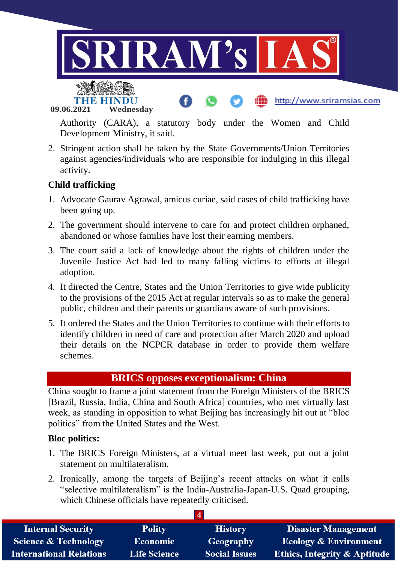

**09.06.2021 Wednesday**

Authority (CARA), a statutory body under the Women and Child Development Ministry, it said.

2. Stringent action shall be taken by the State Governments/Union Territories against agencies/individuals who are responsible for indulging in this illegal activity.

## **Child trafficking**

- 1. Advocate Gaurav Agrawal, amicus curiae, said cases of child trafficking have been going up.
- 2. The government should intervene to care for and protect children orphaned, abandoned or whose families have lost their earning members.
- 3. The court said a lack of knowledge about the rights of children under the Juvenile Justice Act had led to many falling victims to efforts at illegal adoption.
- 4. It directed the Centre, States and the Union Territories to give wide publicity to the provisions of the 2015 Act at regular intervals so as to make the general public, children and their parents or guardians aware of such provisions.
- 5. It ordered the States and the Union Territories to continue with their efforts to identify children in need of care and protection after March 2020 and upload their details on the NCPCR database in order to provide them welfare schemes.

## **BRICS opposes exceptionalism: China**

China sought to frame a joint statement from the Foreign Ministers of the BRICS [Brazil, Russia, India, China and South Africa] countries, who met virtually last week, as standing in opposition to what Beijing has increasingly hit out at "bloc politics" from the United States and the West.

#### **Bloc politics:**

- 1. The BRICS Foreign Ministers, at a virtual meet last week, put out a joint statement on multilateralism.
- 2. Ironically, among the targets of Beijing's recent attacks on what it calls "selective multilateralism" is the India-Australia-Japan-U.S. Quad grouping, which Chinese officials have repeatedly criticised.

| <b>Internal Security</b>        | <b>Polity</b>       | <b>History</b>       | <b>Disaster Management</b>              |
|---------------------------------|---------------------|----------------------|-----------------------------------------|
| <b>Science &amp; Technology</b> | <b>Economic</b>     | Geography            | <b>Ecology &amp; Environment</b>        |
| <b>International Relations</b>  | <b>Life Science</b> | <b>Social Issues</b> | <b>Ethics, Integrity &amp; Aptitude</b> |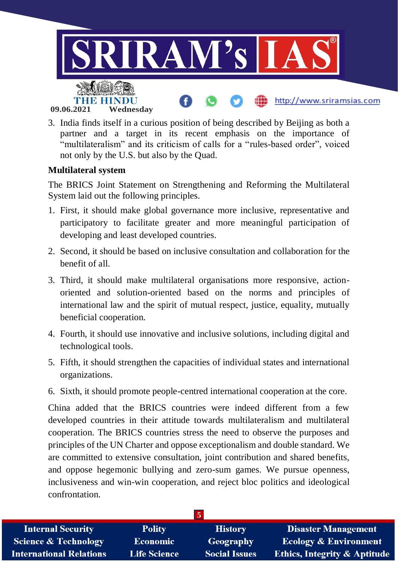

3. India finds itself in a curious position of being described by Beijing as both a partner and a target in its recent emphasis on the importance of "multilateralism" and its criticism of calls for a "rules-based order", voiced not only by the U.S. but also by the Quad.

#### **Multilateral system**

The BRICS Joint Statement on Strengthening and Reforming the Multilateral System laid out the following principles.

- 1. First, it should make global governance more inclusive, representative and participatory to facilitate greater and more meaningful participation of developing and least developed countries.
- 2. Second, it should be based on inclusive consultation and collaboration for the benefit of all.
- 3. Third, it should make multilateral organisations more responsive, actionoriented and solution-oriented based on the norms and principles of international law and the spirit of mutual respect, justice, equality, mutually beneficial cooperation.
- 4. Fourth, it should use innovative and inclusive solutions, including digital and technological tools.
- 5. Fifth, it should strengthen the capacities of individual states and international organizations.
- 6. Sixth, it should promote people-centred international cooperation at the core.

China added that the BRICS countries were indeed different from a few developed countries in their attitude towards multilateralism and multilateral cooperation. The BRICS countries stress the need to observe the purposes and principles of the UN Charter and oppose exceptionalism and double standard. We are committed to extensive consultation, joint contribution and shared benefits, and oppose hegemonic bullying and zero-sum games. We pursue openness, inclusiveness and win-win cooperation, and reject bloc politics and ideological confrontation.

| <b>Internal Security</b>        | <b>Polity</b>       | <b>History</b>       | <b>Disaster Management</b>              |
|---------------------------------|---------------------|----------------------|-----------------------------------------|
| <b>Science &amp; Technology</b> | <b>Economic</b>     | Geography            | <b>Ecology &amp; Environment</b>        |
| <b>International Relations</b>  | <b>Life Science</b> | <b>Social Issues</b> | <b>Ethics, Integrity &amp; Aptitude</b> |